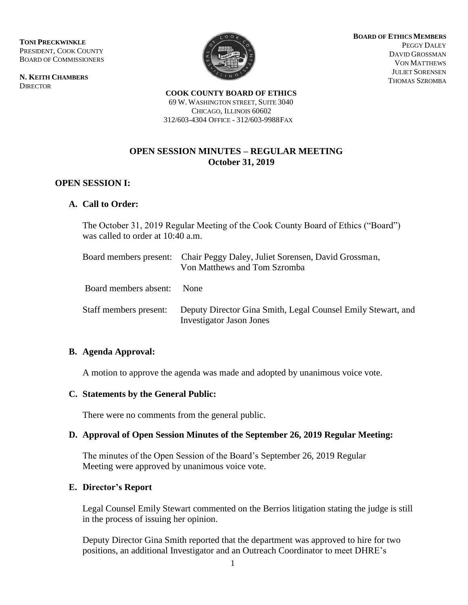**TONI PRECKWINKLE**  PRESIDENT, COOK COUNTY BOARD OF COMMISSIONERS

**N. KEITH CHAMBERS DIRECTOR** 



**BOARD OF ETHICSMEMBERS** PEGGY DALEY DAVID GROSSMAN VON MATTHEWS JULIET SORENSEN THOMAS SZROMBA

**COOK COUNTY BOARD OF ETHICS** 69 W. WASHINGTON STREET, SUITE 3040 CHICAGO, ILLINOIS 60602 312/603-4304 OFFICE - 312/603-9988FAX

# **OPEN SESSION MINUTES – REGULAR MEETING October 31, 2019**

## **OPEN SESSION I:**

## **A. Call to Order:**

The October 31, 2019 Regular Meeting of the Cook County Board of Ethics ("Board") was called to order at 10:40 a.m.

|                            | Board members present: Chair Peggy Daley, Juliet Sorensen, David Grossman,<br>Von Matthews and Tom Szromba |
|----------------------------|------------------------------------------------------------------------------------------------------------|
| Board members absent: None |                                                                                                            |
| Staff members present:     | Deputy Director Gina Smith, Legal Counsel Emily Stewart, and<br><b>Investigator Jason Jones</b>            |

#### **B. Agenda Approval:**

A motion to approve the agenda was made and adopted by unanimous voice vote.

#### **C. Statements by the General Public:**

There were no comments from the general public.

#### **D. Approval of Open Session Minutes of the September 26, 2019 Regular Meeting:**

The minutes of the Open Session of the Board's September 26, 2019 Regular Meeting were approved by unanimous voice vote.

#### **E. Director's Report**

Legal Counsel Emily Stewart commented on the Berrios litigation stating the judge is still in the process of issuing her opinion.

Deputy Director Gina Smith reported that the department was approved to hire for two positions, an additional Investigator and an Outreach Coordinator to meet DHRE's